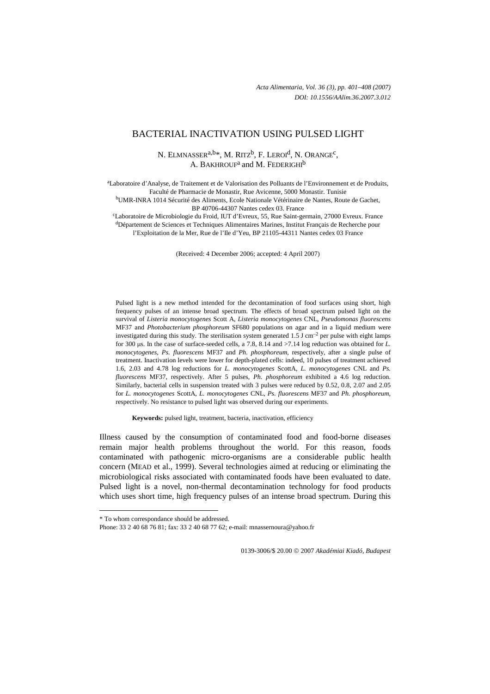# BACTERIAL INACTIVATION USING PULSED LIGHT

N. ELMNASSER $a,b*$ , M. RITZ<sup>b</sup>, F. LEROI<sup>d</sup>, N. ORANGE<sup>C</sup>, A. BAKHROUF<sup>a</sup> and M. FEDERIGHI<sup>b</sup>

a Laboratoire d'Analyse, de Traitement et de Valorisation des Polluants de l'Environnement et de Produits, Faculté de Pharmacie de Monastir, Rue Avicenne, 5000 Monastir. Tunisie b <sup>b</sup>UMR-INRA 1014 Sécurité des Aliments, Ecole Nationale Vétérinaire de Nantes, Route de Gachet, BP 40706-44307 Nantes cedex 03. France<br>CLaboratoire de Microbiologie du Froid, IUT d'Evreux, 55, Rue Saint-germain, 27000 Evreux. France

dDépartement de Sciences et Techniques Alimentaires Marines, Institut Français de Recherche pour l'Exploitation de la Mer, Rue de l'Ile d'Yeu, BP 21105-44311 Nantes cedex 03 France

(Received: 4 December 2006; accepted: 4 April 2007)

Pulsed light is a new method intended for the decontamination of food surfaces using short, high frequency pulses of an intense broad spectrum. The effects of broad spectrum pulsed light on the survival of *Listeria monocytogenes* Scott A, *Listeria monocytogenes* CNL, *Pseudomonas fluorescens*  MF37 and *Photobacterium phosphoreum* SF680 populations on agar and in a liquid medium were investigated during this study. The sterilisation system generated 1.5 J cm<sup>-2</sup> per pulse with eight lamps for 300 µs. In the case of surface-seeded cells, a 7.8, 8.14 and >7.14 log reduction was obtained for *L. monocytogenes*, *Ps. fluorescens* MF37 and *Ph. phosphoreum,* respectively, after a single pulse of treatment. Inactivation levels were lower for depth-plated cells: indeed, 10 pulses of treatment achieved 1.6, 2.03 and 4.78 log reductions for *L. monocytogenes* ScottA, *L. monocytogenes* CNL and *Ps. fluorescens* MF37, respectively. After 5 pulses, *Ph. phosphoreum* exhibited a 4.6 log reduction. Similarly, bacterial cells in suspension treated with 3 pulses were reduced by 0.52, 0.8, 2.07 and 2.05 for *L. monocytogenes* ScottA, *L. monocytogenes* CNL, *Ps. fluorescens* MF37 and *Ph. phosphoreum,* respectively. No resistance to pulsed light was observed during our experiments.

**Keywords:** pulsed light, treatment, bacteria, inactivation, efficiency

Illness caused by the consumption of contaminated food and food-borne diseases remain major health problems throughout the world. For this reason, foods contaminated with pathogenic micro-organisms are a considerable public health concern (MEAD et al., 1999). Several technologies aimed at reducing or eliminating the microbiological risks associated with contaminated foods have been evaluated to date. Pulsed light is a novel, non-thermal decontamination technology for food products which uses short time, high frequency pulses of an intense broad spectrum. During this

 $\overline{a}$ 

0139-3006/\$ 20.00 © 2007 *Akadémiai Kiadó, Budapest*

<sup>\*</sup> To whom correspondance should be addressed.

Phone: 33 2 40 68 76 81; fax: 33 2 40 68 77 62; e-mail: mnassernoura@yahoo.fr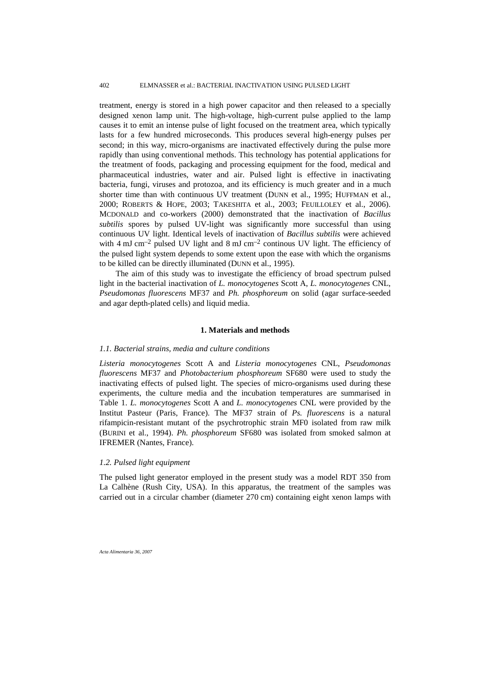treatment, energy is stored in a high power capacitor and then released to a specially designed xenon lamp unit. The high-voltage, high-current pulse applied to the lamp causes it to emit an intense pulse of light focused on the treatment area, which typically lasts for a few hundred microseconds. This produces several high-energy pulses per second; in this way, micro-organisms are inactivated effectively during the pulse more rapidly than using conventional methods. This technology has potential applications for the treatment of foods, packaging and processing equipment for the food, medical and pharmaceutical industries, water and air. Pulsed light is effective in inactivating bacteria, fungi, viruses and protozoa, and its efficiency is much greater and in a much shorter time than with continuous UV treatment (DUNN et al., 1995; HUFFMAN et al., 2000; ROBERTS & HOPE, 2003; TAKESHITA et al., 2003; FEUILLOLEY et al., 2006). MCDONALD and co-workers (2000) demonstrated that the inactivation of *Bacillus subtilis* spores by pulsed UV-light was significantly more successful than using continuous UV light. Identical levels of inactivation of *Bacillus subtilis* were achieved with 4 mJ cm<sup>-2</sup> pulsed UV light and 8 mJ cm<sup>-2</sup> continous UV light. The efficiency of the pulsed light system depends to some extent upon the ease with which the organisms to be killed can be directly illuminated (DUNN et al., 1995).

The aim of this study was to investigate the efficiency of broad spectrum pulsed light in the bacterial inactivation of *L. monocytogenes* Scott A, *L. monocytogenes* CNL, *Pseudomonas fluorescens* MF37 and *Ph. phosphoreum* on solid (agar surface-seeded and agar depth-plated cells) and liquid media.

## **1. Materials and methods**

# *1.1. Bacterial strains, media and culture conditions*

*Listeria monocytogenes* Scott A and *Listeria monocytogenes* CNL, *Pseudomonas fluorescens* MF37 and *Photobacterium phosphoreum* SF680 were used to study the inactivating effects of pulsed light. The species of micro-organisms used during these experiments, the culture media and the incubation temperatures are summarised in Table 1. *L. monocytogenes* Scott A and *L. monocytogenes* CNL were provided by the Institut Pasteur (Paris, France). The MF37 strain of *Ps. fluorescens* is a natural rifampicin-resistant mutant of the psychrotrophic strain MF0 isolated from raw milk (BURINI et al., 1994). *Ph. phosphoreum* SF680 was isolated from smoked salmon at IFREMER (Nantes, France).

## *1.2. Pulsed light equipment*

The pulsed light generator employed in the present study was a model RDT 350 from La Calhène (Rush City, USA). In this apparatus, the treatment of the samples was carried out in a circular chamber (diameter 270 cm) containing eight xenon lamps with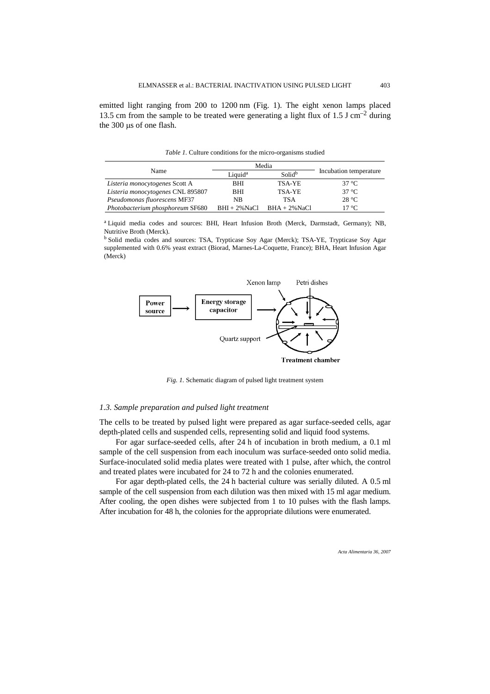emitted light ranging from 200 to 1200 nm (Fig. 1). The eight xenon lamps placed 13.5 cm from the sample to be treated were generating a light flux of 1.5 J cm<sup>-2</sup> during the 300 µs of one flash.

| Name                              | Media               |                    |                        |
|-----------------------------------|---------------------|--------------------|------------------------|
|                                   | Liquid <sup>a</sup> | Solid <sup>b</sup> | Incubation temperature |
| Listeria monocytogenes Scott A    | BHI                 | TSA-YE             | $37^{\circ}$ C         |
| Listeria monocytogenes CNL 895807 | BHI                 | TSA-YE             | $37^{\circ}$ C         |
| Pseudomonas fluorescens MF37      | NΒ                  | TSA                | 28 °C                  |
| Photobacterium phosphoreum SF680  | $BHI + 2\%$ NaCl    | $BHA + 2\%$ NaCl   | 17 °C                  |

*Table 1.* Culture conditions for the micro-organisms studied

a Liquid media codes and sources: BHI, Heart Infusion Broth (Merck, Darmstadt, Germany); NB, Nutritive Broth (Merck).

<sup>b</sup> Solid media codes and sources: TSA, Trypticase Soy Agar (Merck); TSA-YE, Trypticase Soy Agar supplemented with 0.6% yeast extract (Biorad, Marnes-La-Coquette, France); BHA, Heart Infusion Agar (Merck)



*Fig. 1.* Schematic diagram of pulsed light treatment system

## *1.3. Sample preparation and pulsed light treatment*

The cells to be treated by pulsed light were prepared as agar surface-seeded cells, agar depth-plated cells and suspended cells, representing solid and liquid food systems.

For agar surface-seeded cells, after 24 h of incubation in broth medium, a 0.1 ml sample of the cell suspension from each inoculum was surface-seeded onto solid media. Surface-inoculated solid media plates were treated with 1 pulse, after which, the control and treated plates were incubated for 24 to 72 h and the colonies enumerated.

For agar depth-plated cells, the 24 h bacterial culture was serially diluted. A 0.5 ml sample of the cell suspension from each dilution was then mixed with 15 ml agar medium. After cooling, the open dishes were subjected from 1 to 10 pulses with the flash lamps. After incubation for 48 h, the colonies for the appropriate dilutions were enumerated.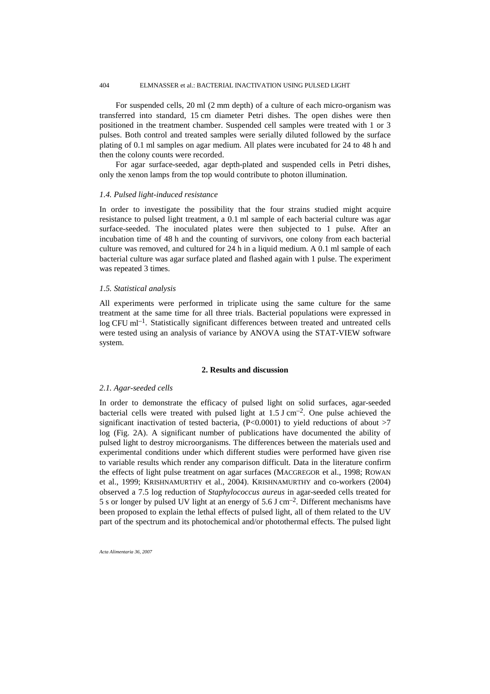For suspended cells, 20 ml (2 mm depth) of a culture of each micro-organism was transferred into standard, 15 cm diameter Petri dishes. The open dishes were then positioned in the treatment chamber. Suspended cell samples were treated with 1 or 3 pulses. Both control and treated samples were serially diluted followed by the surface plating of 0.1 ml samples on agar medium. All plates were incubated for 24 to 48 h and then the colony counts were recorded.

For agar surface-seeded, agar depth-plated and suspended cells in Petri dishes, only the xenon lamps from the top would contribute to photon illumination.

# *1.4. Pulsed light-induced resistance*

In order to investigate the possibility that the four strains studied might acquire resistance to pulsed light treatment, a 0.1 ml sample of each bacterial culture was agar surface-seeded. The inoculated plates were then subjected to 1 pulse. After an incubation time of 48 h and the counting of survivors, one colony from each bacterial culture was removed, and cultured for 24 h in a liquid medium. A 0.1 ml sample of each bacterial culture was agar surface plated and flashed again with 1 pulse. The experiment was repeated 3 times.

#### *1.5. Statistical analysis*

All experiments were performed in triplicate using the same culture for the same treatment at the same time for all three trials. Bacterial populations were expressed in log CFU ml<sup>-1</sup>. Statistically significant differences between treated and untreated cells were tested using an analysis of variance by ANOVA using the STAT-VIEW software system.

#### **2. Results and discussion**

#### *2.1. Agar-seeded cells*

In order to demonstrate the efficacy of pulsed light on solid surfaces, agar-seeded bacterial cells were treated with pulsed light at  $1.5$  J cm<sup>-2</sup>. One pulse achieved the significant inactivation of tested bacteria,  $(P<0.0001)$  to yield reductions of about  $>7$ log (Fig. 2A). A significant number of publications have documented the ability of pulsed light to destroy microorganisms. The differences between the materials used and experimental conditions under which different studies were performed have given rise to variable results which render any comparison difficult. Data in the literature confirm the effects of light pulse treatment on agar surfaces (MACGREGOR et al., 1998; ROWAN et al., 1999; KRISHNAMURTHY et al., 2004). KRISHNAMURTHY and co-workers (2004) observed a 7.5 log reduction of *Staphylococcus aureus* in agar-seeded cells treated for 5 s or longer by pulsed UV light at an energy of  $5.6$  J cm<sup>-2</sup>. Different mechanisms have been proposed to explain the lethal effects of pulsed light, all of them related to the UV part of the spectrum and its photochemical and/or photothermal effects. The pulsed light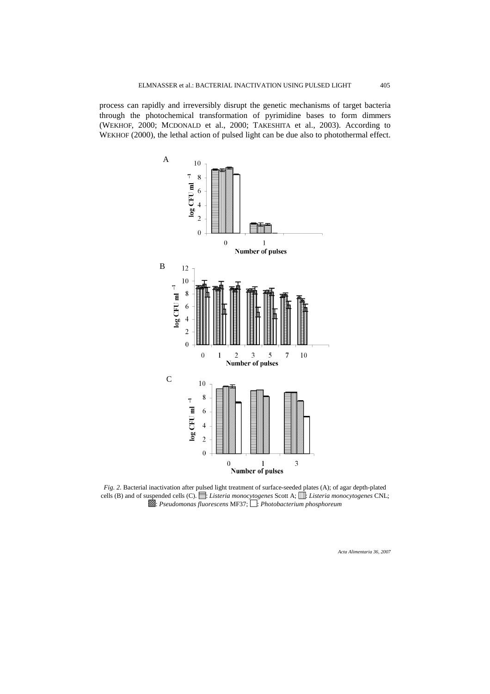process can rapidly and irreversibly disrupt the genetic mechanisms of target bacteria through the photochemical transformation of pyrimidine bases to form dimmers (WEKHOF, 2000; MCDONALD et al., 2000; TAKESHITA et al., 2003). According to WEKHOF (2000), the lethal action of pulsed light can be due also to photothermal effect.



*Fig. 2.* Bacterial inactivation after pulsed light treatment of surface-seeded plates (A); of agar depth-plated cells (B) and of suspended cells (C).  $\Box$ *Listeria monocytogenes* Scott A;  $\Box$ *listeria monocytogenes* CNL; : Pseudomonas fluorescens MF37; **:** *Photobacterium phosphoreum*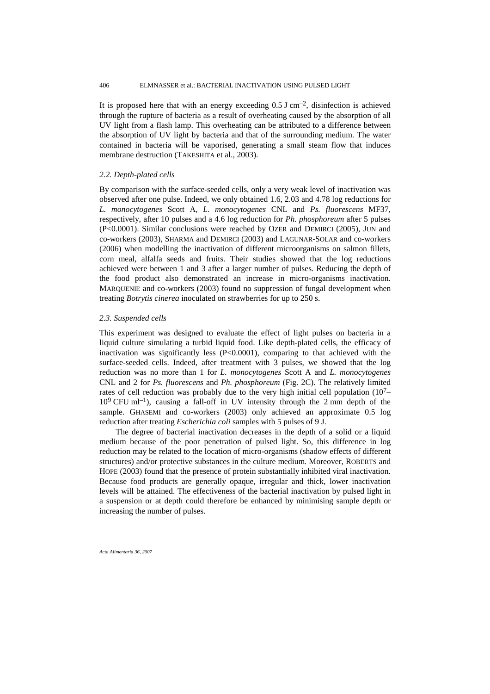It is proposed here that with an energy exceeding  $0.5 \text{ J cm}^{-2}$ , disinfection is achieved through the rupture of bacteria as a result of overheating caused by the absorption of all UV light from a flash lamp. This overheating can be attributed to a difference between the absorption of UV light by bacteria and that of the surrounding medium. The water contained in bacteria will be vaporised, generating a small steam flow that induces membrane destruction (TAKESHITA et al., 2003).

# *2.2. Depth-plated cells*

By comparison with the surface-seeded cells, only a very weak level of inactivation was observed after one pulse. Indeed, we only obtained 1.6, 2.03 and 4.78 log reductions for *L. monocytogenes* Scott A, *L. monocytogenes* CNL and *Ps. fluorescens* MF37, respectively, after 10 pulses and a 4.6 log reduction for *Ph. phosphoreum* after 5 pulses (P<0.0001). Similar conclusions were reached by OZER and DEMIRCI (2005), JUN and co-workers (2003), SHARMA and DEMIRCI (2003) and LAGUNAR-SOLAR and co-workers (2006) when modelling the inactivation of different microorganisms on salmon fillets, corn meal, alfalfa seeds and fruits. Their studies showed that the log reductions achieved were between 1 and 3 after a larger number of pulses. Reducing the depth of the food product also demonstrated an increase in micro-organisms inactivation. MARQUENIE and co-workers (2003) found no suppression of fungal development when treating *Botrytis cinerea* inoculated on strawberries for up to 250 s.

#### *2.3. Suspended cells*

This experiment was designed to evaluate the effect of light pulses on bacteria in a liquid culture simulating a turbid liquid food. Like depth-plated cells, the efficacy of inactivation was significantly less  $(P<0.0001)$ , comparing to that achieved with the surface-seeded cells. Indeed, after treatment with 3 pulses, we showed that the log reduction was no more than 1 for *L. monocytogenes* Scott A and *L. monocytogenes* CNL and 2 for *Ps. fluorescens* and *Ph. phosphoreum* (Fig. 2C). The relatively limited rates of cell reduction was probably due to the very high initial cell population  $(10<sup>7</sup>–$  $10^9$  CFU ml<sup>-1</sup>), causing a fall-off in UV intensity through the 2 mm depth of the sample. GHASEMI and co-workers (2003) only achieved an approximate 0.5 log reduction after treating *Escherichia coli* samples with 5 pulses of 9 J.

The degree of bacterial inactivation decreases in the depth of a solid or a liquid medium because of the poor penetration of pulsed light. So, this difference in log reduction may be related to the location of micro-organisms (shadow effects of different structures) and/or protective substances in the culture medium. Moreover, ROBERTS and HOPE (2003) found that the presence of protein substantially inhibited viral inactivation. Because food products are generally opaque, irregular and thick, lower inactivation levels will be attained. The effectiveness of the bacterial inactivation by pulsed light in a suspension or at depth could therefore be enhanced by minimising sample depth or increasing the number of pulses.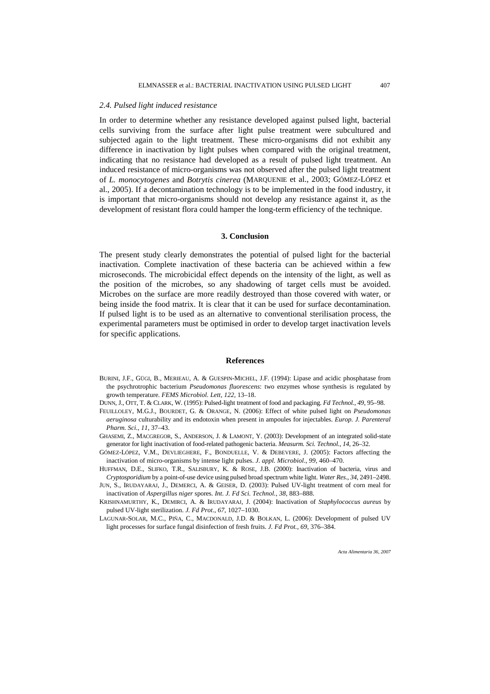#### *2.4. Pulsed light induced resistance*

In order to determine whether any resistance developed against pulsed light, bacterial cells surviving from the surface after light pulse treatment were subcultured and subjected again to the light treatment. These micro-organisms did not exhibit any difference in inactivation by light pulses when compared with the original treatment, indicating that no resistance had developed as a result of pulsed light treatment. An induced resistance of micro-organisms was not observed after the pulsed light treatment of *L. monocytogenes* and *Botrytis cinerea* (MARQUENIE et al., 2003; GÓMEZ-LÓPEZ et al., 2005). If a decontamination technology is to be implemented in the food industry, it is important that micro-organisms should not develop any resistance against it, as the development of resistant flora could hamper the long-term efficiency of the technique.

## **3. Conclusion**

The present study clearly demonstrates the potential of pulsed light for the bacterial inactivation. Complete inactivation of these bacteria can be achieved within a few microseconds. The microbicidal effect depends on the intensity of the light, as well as the position of the microbes, so any shadowing of target cells must be avoided. Microbes on the surface are more readily destroyed than those covered with water, or being inside the food matrix. It is clear that it can be used for surface decontamination. If pulsed light is to be used as an alternative to conventional sterilisation process, the experimental parameters must be optimised in order to develop target inactivation levels for specific applications.

#### **References**

- BURINI, J.F., GÜGI, B., MERIEAU, A. & GUESPIN-MICHEL, J.F. (1994): Lipase and acidic phosphatase from the psychrotrophic bacterium *Pseudomonas fluorescens*: two enzymes whose synthesis is regulated by growth temperature. *FEMS Microbiol. Lett*, *122*, 13–18.
- DUNN, J., OTT, T. & CLARK, W. (1995): Pulsed-light treatment of food and packaging. *Fd Technol.*, *49*, 95–98.
- FEUILLOLEY, M.G.J., BOURDET, G. & ORANGE, N. (2006): Effect of white pulsed light on *Pseudomonas aeruginosa* culturability and its endotoxin when present in ampoules for injectables. *Europ. J. Parenteral Pharm. Sci.*, *11*, 37–43.
- GHASEMI, Z., MACGREGOR, S., ANDERSON, J. & LAMONT, Y. (2003): Development of an integrated solid-state generator for light inactivation of food-related pathogenic bacteria. *Measurm. Sci. Technol.*, *14*, 26–32.
- GÓMEZ-LÓPEZ, V.M., DEVLIEGHERE, F., BONDUELLE, V. & DEBEVERE, J. (2005): Factors affecting the inactivation of micro-organisms by intense light pulses. *J. appl. Microbiol*., *99*, 460–470.
- HUFFMAN, D.E., SLIFKO, T.R., SALISBURY, K. & ROSE, J.B. (2000): Inactivation of bacteria, virus and *Cryptosporidium* by a point-of-use device using pulsed broad spectrum white light. *Water Res*., *34*, 2491–2498.
- JUN, S., IRUDAYARAJ, J., DEMERCI, A. & GEISER, D. (2003): Pulsed UV-light treatment of corn meal for inactivation of *Aspergillus niger* spores. *Int. J. Fd Sci. Technol.*, *38*, 883–888.
- KRISHNAMURTHY, K., DEMIRCI, A. & IRUDAYARAJ, J. (2004): Inactivation of *Staphylococcus aureus* by pulsed UV-light sterilization. *J. Fd Prot.*, *67*, 1027–1030.
- LAGUNAR-SOLAR, M.C., PIŇA, C., MACDONALD, J.D. & BOLKAN, L. (2006): Development of pulsed UV light processes for surface fungal disinfection of fresh fruits. *J. Fd Prot.*, *69*, 376–384.